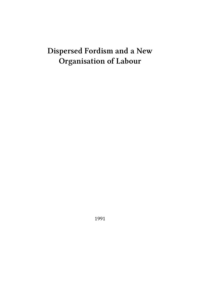# **Dispersed Fordism and a New Organisation of Labour**

1991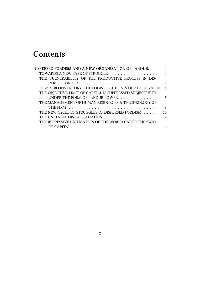## **Contents**

| DISPERSED FORDISM AND A NEW ORGANISATION OF LABOUR.       | $\overline{4}$ |
|-----------------------------------------------------------|----------------|
| TOWARDS A NEW TYPE OF STRUGGLE.                           | $\overline{4}$ |
| THE VULNERABILITY OF THE PRODUCTIVE PROCESS IN DIS-       |                |
|                                                           | 5              |
| JIT & ZERO INVENTORY: THE LOGISTICAL CHAIN OF ADDED VALUE | 6              |
| THE OBJECTIVE LIMIT OF CAPITAL IS SUPPRESSED SUBJECTIVITY |                |
| UNDER THE FORM OF LABOUR POWER.                           | 8              |
| THE MANAGEMENT OF HUMAN RESOURCES & THE IDEOLOGY OF       |                |
| THE FIRM                                                  | 9              |
| THE NEW CYCLE OF STRUGGLES OF DISPERSED FORDISM.          | 10             |
|                                                           | 12             |
| THE REPRESSIVE UNIFICATION OF THE WORLD UNDER THE SWAY    |                |
|                                                           | 13             |
|                                                           |                |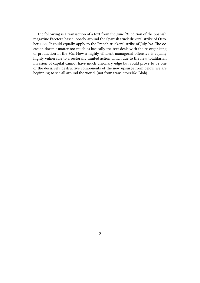The following is a transaction of a text from the June '91 edition of the Spanish magazine Etcetera based loosely around the Spanish truck drivers' strike of October 1990. It could equally apply to the French truckers' strike of July '92. The occasion doesn't matter too much as basically the text deals with the re-organising of production in the 80s. How a highly efficient managerial offensive is equally highly vulnerable to a sectorally limited action which due to the new totalitarian invasion of capital cannot have much visionary edge but could prove to be one of the decisively destructive components of the new upsurge from below we are beginning to see all around the world. (not from translators:BM Blob).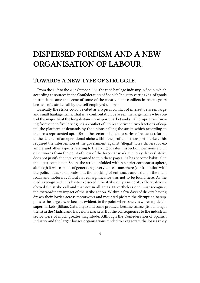## <span id="page-3-0"></span>**DISPERSED FORDISM AND A NEW ORGANISATION OF LABOUR.**

#### <span id="page-3-1"></span>**TOWARDS A NEW TYPE OF STRUGGLE.**

From the  $10^{\rm th}$  to the  $20^{\rm th}$  October 1990 the road haulage industry in Spain, which according to sources in the Confederation of Spanish Industry carries 75% of goods in transit became the scene of some of the most violent conflicts in recent years because of a strike call by the self employed unions.

Basically the strike could be cited as a typical conflict of interest between large and small haulage firms. That is, a confrontation between the large firms who control the majority of the long distance transport market and small proprietors (owning from one to five lorries). As a conflict of interest between two fractions of capital the platform of demands by the unions calling the strike which according to the press represented upto 15% of the sector  $-$  it led to a series of requests relating to the defence of an operational niche within the profitable transport market. This required the intervention of the government against "illegal" lorry drivers for example, and other aspects relating to the fixing of rates, inspection, pensions etc. In other words from the point of view of the forces at work, the lorry drivers' strike does not justify the interest granted to it in these pages. As has become habitual in the latest conflicts in Spain, the strike unfolded within a strict corporatist sphere, although it was capable of generating a very tense atmosphere (confrontation with the police, attacks on scabs and the blocking of entrances and exits on the main roads and motorways). But its real significance was not to be found here. As the media recognised in its haste to discredit the strike, only a minority of lorry drivers obeyed the strike call and that not in all areas. Nevertheless one must recognise the extraordinary impact of the strike action. Within a few days of drivers having drawn their lorries across motorways and mounted pickets the disruption to supplies to the large towns became evident, to the point where shelves were emptied in supermarkets (Bilbao, Catalunya) and some products became scarce (fish amongst them) in the Madrid and Barcelona markets. But the consequences to the industrial sector were of much greater magnitude. Although the Confederation of Spanish Industry and the larger bosses organisations tended to exaggerate the losses (they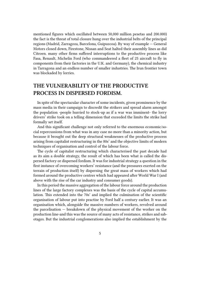mentioned figures which oscillated between 50,000 million pesetas and 200.000) the fact is the threat of total closure hung over the industrial belts of the principal regions (Madrid, Zarragoza, Barcelona, Guipuzcoa). By way of example — General Motors closed down, Firestone, Nissan and Seat halted their assembly lines as did Citroen. many other firms suffered interruptions to the productive process like Fasa, Renault, Michelin Ford (who commandeered a fleet of 25 aircraft to fly in components from their factories in the U.K. and Germany), the chemical industry in Tarragona and an endless number of smaller industries. The Irun frontier town was blockaded by lorries.

### <span id="page-4-0"></span>**THE VULNERABILITY OF THE PRODUCTIVE PROCESS IN DISPERSED FORDISM.**

In spite of the spectacular character of some incidents, given prominence by the mass media in their campaign to discredit the strikers and spread alarm amongst the population -people hurried to stock-up as if a war was imminent- the lorry drivers' strike took on a telling dimension that exceeded the limits the strike had formally set itself.

And this significant challenge not only referred to the enormous economic/social repercussions from what was in any case no more than a minority action, but because it brought out the deep structural weaknesses of the productive process arising from capitalist restructuring in the 80s' and the objective limits of modern techniques of organisation and control of the labour force.

The cycle of capitalist restructuring which characterised the past decade had as its aim a double strategy, the result of which has been what is called the dispersed factory or dispersed fordism. It was for industrial strategy a question in the first instance of overcoming workers' resistance (and the pressures exerted on the terrain of production itself) by dispersing the great mass of workers which had formed around the productive centres which had appeared after World War I (and above with the rise of the car industry and consumer goods).

In this period the massive aggregation of the labour force around the production lines of the large factory complexes was the basis of the cycle of capital accumulation. This extended into the 70s' and implied the culmination of the scientific organisation of labour put into practise by Ford half a century earlier. It was an organisation which, alongside the massive numbers of workers, revolved around the parcelisation — breakdown of the physical movement of the worker on the production line-and this was the source of many acts of resistance, strikes and sabotages. But the industrial conglomerations also implied the establishment by the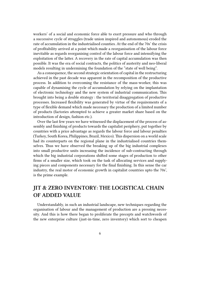workers' of a social and economic force able to exert pressure and who through a successive cycle of struggles (trade union inspired and autonomous) eroded the rate of accumulation in the industrialised counties. At the end of the 70s' the crisis of profitability arrived at a point which made a reorganisation of the labour force inevitable as regards reorganising control of the labour force and intensifying the exploitation of the latter. A recovery in the rate of capital accumulation was then possible. It was the era of social contracts, the politics of austerity and neo-liberal models resulting in undermining the foundation of the "state of well being".

As a consequence, the second strategic orientation of capital in the restructuring achieved in the past decade was apparent in the recomposition of the productive process. In addition to overcoming the resistance of the mass-worker, this was capable of dynamising the cycle of accumulation by relying on the implantation of electronic technology and the new system of industrial communication. This brought into being a double strategy : the territorial disaggregation of productive processes. Increased flexibility was generated by virtue of the requirements of a type of flexible demand which made necessary the production of a limited number of products (factories attempted to achieve a greater market share based on the introduction of design, fashion etc.).

Over the last few years we have witnessed the displacement of the process of assembly and finishing of products towards the capitalist periphery, put together by countries with a price advantage as regards the labour force and labour penalties (Turkey, South Korea, Philippines, Brazil, Mexico). This dispersion on a world scale had its counterparts on the regional plane in the industrialised countries themselves. Thus we have observed the breaking up of the big industrial complexes into small productive units increasing the incidence of sub-contracting through which the big industrial corporations shifted some stages of production to other firms of a smaller size, which took on the task of allocating services and supplying pieces and components necessary for the final finishing. In this sense the car industry, the real motor of economic growth in capitalist countries upto the 70s', is the prime example.

#### <span id="page-5-0"></span>**JIT & ZERO INVENTORY: THE LOGISTICAL CHAIN OF ADDED VALUE**

Understandably, in such an industrial landscape, new techniques regarding the organisation of labour and the management of production are a pressing necessity. And this is how there began to proliferate the precepts and watchwords of the new enterprise culture (just-in-time, zero inventory) which sort to cheapen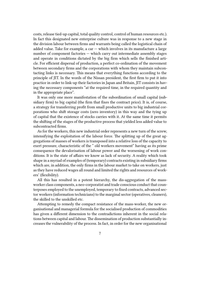costs, release tied-up capital, total quality control, control of human resources etc.). In fact this designated new enterprise culture was in response to a new stage in the division labour between firms and warrants being called the logistical chain of added value. Take for example, a car — which involves in its manufacture a large number of component factories — which carry out intermediate assembly stages and operate in conditions dictated by the big firm which sells the finished article. For efficient dispersal of production, a perfect co-ordination of the movement between secondary firms and the corporations with whom they maintain subcontacting links is necessary. This means that everything functions according to the principle of JIT. In the words of the Nissan president, the first firm to put it into practice in order to link-up their factories in Japan and Britain, JIT consists in having the necessary components "at the required time, in the required quantity and in the appropriate place".

It was only one more manifestation of the subordination of small capital (subsidiary firm) to big capital (the firm that fixes the contract price). It is, of course, a strategy for transferring profit from small productive units to big industrial corporations who shift storage costs (zero inventory) in this way and the tying up of capital that the existence of stocks carries with it. At the same time it permits the shifting of the stages of the productive process that yielded less added value to subcontracted firms.

As for the workers, this new industrial order represents a new turn of the screw, intensifying the exploitation of the labour force. The splitting up of the great aggregations of masses of workers is transposed into a relative loss of the capacity to exert pressure, characteristic of the " old workers movement" having as its prime consequence the devalorisation of labour power and the worsening of work conditions. It is the state of affairs we know as lack of security. A reality which took shape in a myriad of examples of (temporary) contracts existing in subsidiary firms which are, in addition, the only firms in the labour market to take on workers, just as they have reduced wages all round and limited the rights and resources of workers' (flexibility).

All this has resulted in a potent hierarchy, the dis-aggregation of the massworker class components, a neo-corporatist and trade conscious conduct that counterposes employed to the unemployed, temporary to fixed contracts, advanced sector workers (information technicians) to the marginal sector (operatives, cleaners), the skilled to the unskilled etc.

Attempting to remedy the compact resistance of the mass-worker, the new organisational and managerial formula for the socialised production of commodities has given a different dimension to the contradictions inherent in the social relations between capital and labour. The dissemination of production substantially increases the vulnerability of the process. In fact, in order for the new organisational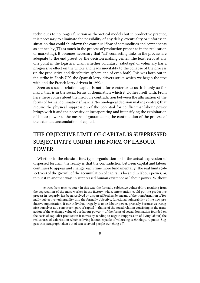techniques to no longer function as theoretical models but in productive practice, it is necessary to eliminate the possibility of any delay, eventuality or unforeseen situation that could shutdown the continual flow of commodities and components as defined by JIT (as much in the process of production proper as in the realisation or marketing). It becomes necessary that "all" connecting links in the process are adequate to the end preset by the decision making center. The least error at any one point in the logistical chain whether voluntary (sabotage) or voluntary has a progressive effect on the whole and leads inevitably to the collapse of the process (in the productive and distributive sphere and of even both) This was born out in the strike in Fords U.K. the Spanish lorry drivers strike which we began the text with and the French lorry drivers in 1992.<sup>1</sup>

Seen as a social relation, capital is not a force exterior to us. It is only so formally, that is in the social forms of domination which it clothes itself with. From here there comes about the insoluble contradiction between the affirmation of the forms of formal domination (financial/technological decision making centres) that require the physical suppression of the potential for conflict that labour power brings with it and the necessity of incorporating and intensifying the exploitation of labour power as the means of guaranteeing the continuation of the process of the extended accumulation of capital.

### <span id="page-7-0"></span>**THE OBJECTIVE LIMIT OF CAPITAL IS SUPPRESSED SUBJECTIVITY UNDER THE FORM OF LABOUR POWER.**

Whether in the classical ford type organisation or in the actual expression of dispersed fordism, the reality is that the contradiction between capital and labour continues to appear and change, each time more fundamentally. The real limits (objectives) of the growth of the accumulation of capital is located in labour power, or, to put it in another way, in suppressed human existence as labour power. Without

<sup>&</sup>lt;sup>1</sup> extract from text: <quote> In this way the formally subjective vulnerability resulting from the aggregation of the mass worker in the factory, whose intervention could put the productive process in jeopardy, has been resolved by dispersed Fordism by means of the transformation of formally subjective vulnerability into the formally objective, functional vulnerability of the new productive organisation. If our individual tragedy is to be labour power, precisely because we recognise ourselves as a constituent part of capital — that is of the social relation consisting in the transaction of the exchange value of our labour power — of the forms of social domination founded on the basis of capitalist production it moves by tending to negate (suppression of living labour) the real source of valorisation which is living labour, capable of valorising technology. </quote> Suggest this paragraph taken out of text to avoid people switching off!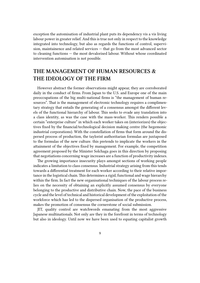exception the automisation of industrial plant puts its dependency vis a vis living labour power in greater relief. And this is true not only in respect to the knowledge integrated into technology, but also as regards the functions of control, supervision, maintainence and related services — that go from the most advanced sector to cleaning functions — the most devalorised labour. Without whose coordinated intervention automisation is not possible.

#### <span id="page-8-0"></span>**THE MANAGEMENT OF HUMAN RESOURCES & THE IDEOLOGY OF THE FIRM**

However abstract the former observations might appear, they are corroborated daily in the conduct of firms. From Japan to the U.S. and Europe one of the main preoccupations of the big multi-national firms is "the management of human resources". That is the management of electronic technology requires a complimentary strategy that entails the generating of a consensus amongst the different levels of the functional hierarchy of labour. This seeks to evade any translation into a class identity, as was the case with the mass-worker. This renders possible a certain "enterprise culture" in which each worker takes on (interiorizes) the objectives fixed by the financial/technological decision making centre (the hegemonic industrial corporations). With the constellation of firms that form around the dispersed process of production, the taylorist authoritarian formulas are juxtaposed to the formulas of the new culture. this pretends to implicate the workers in the attainment of the objectives fixed by management. For example, the competition agreement proposed by the Minister Solchaga goes in this direction by proposing that negotiations concerning wage increases are a function of productivity indexes.

The growing importance insecurity plays amongst sections of working people indicates a limitation to class consensus. Industrial strategy arising from this tends towards a differential treatment for each worker according to their relative importance in the logistical chain. This determines a rigid, functional and wage hierarchy within the firm. In fact the new organisational techniques of the labour process relies on the necessity of obtaining an explicitly assumed consensus by everyone belonging to the productive and distributive chain. Now, the pace of the business cycle and the level of technical and historical development of the exploitation of the workforce which has led to the dispersed organisation of the productive process, makes the promotion of consensus the cornerstone of social submission.

JIT, quality control are watchwords emanating from the most aggressive Japanese multinationals. Not only are they in the forefront in terms of technology but also in ideology. Until now we have been used to equating capitalist growth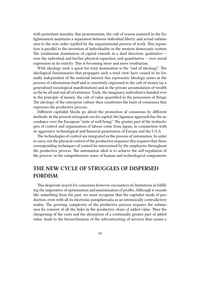with protestant morality. But protestantism, the cult of reason matured in the Enlightenment maintains a separation between individual liberty and actual submission to the new order typified by the organisational process of work. This separation is parallel to the invention of individuality in the western democratic system. The totalitarian domination of capital extends in a dual direction: qualitative over the individual and his/her physical capacities; and quantitative  $-$  over social expression in its entirity. This is becoming more and more totalitarian.

With ideology such a quest for total domination is the "end of ideology". The ideological functionaries that propagate such a total view have ceased to be formally independent of the material interest this represents. Ideology arises in the process of valorisation itself and is concretely expressed in the cult of money (as a generalised sociological manifestation) and in the private accumulation of wealth as the be all and end all of existence. Truly, the imaginary individual is handed over to the principle of money, the cult of value quantified in the possession of things. The ideology of the enterprise culture then constitutes the basis of consensus that expresses the productive process.

Different capitalist blocks go about the promotion of consensus by different methods. In the present retrograde era for capital, the Japanese approach has the ascendancy over the European "state of well being". The greater part of the technologies of control and organisation of labour come from Japan, in conjunction with its aggressive technological and financial penetration of Europe and the U.S.A.

The technologies of control are integrated in the process of automation. In order to carry out the physical control of the productive sequence this requires that these corresponding techniques of control be interiorised by the employees throughout the productive process. The automation ideal is to achieve the self-regulation of the process: in the comprehensive sense of human and technological components.

#### <span id="page-9-0"></span>**THE NEW CYCLE OF STRUGGLES OF DISPERSED FORDISM.**

This desperate search for consensus however encounters its limitations in fulfilling the imperative of optimisation and maximisation of profits. Although it sounds like something from the past, we must recognise that the capitalist mode of production, even with all its electronic paraphernalia as an intrinsically contradictory reality. The growing complexity of the productive process requires the submission by consent of all the links in the productive chain of added value. Thus the cheapening of the costs and the absorption of a continually greater part of added value, leads to the hierarchisation of the subcontracting of services that causes a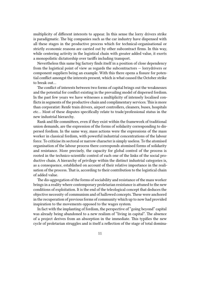multiplicity of different interests to appear. In this sense the lorry drivers strike is paradigmatic. The big companies such as the car industry have dispensed with all these stages in the productive process which for technical-organisational or strictly economic reasons are carried out by other subcontract firms. In this way, while centering activity in the logistical chain with greater added value, it exerts a monopolistic dictatorship over tariffs including transport.

Nevertheless this same big factory finds itself in a position of close dependency from the logistical point of view as regards the subcontractors — lorrydrivers or component suppliers being an example. With this there opens a fissure for potential conflict amongst the interests present, which is what caused the October strike to break out…

The conflict of interests between two forms of capital brings out the weaknesses and the potential for conflict existing in the prevailing model of dispersed fordism. In the past few years we have witnesses a multiplicity of intensely localised conflicts in segments of the productive chain and complimentary services. This is more than corporatist: Renfe train drivers, airport controllers, cleaners, buses, hospitals etc… Most of these disputes specifically relate to trade/professional status in the new industrial hierarchy.

Rank and file committees, even if they exist within the framework of traditional union demands, are the expression of the forms of solidarity corresponding to dispersed fordism. In the same way, mass actions were the expressions of the mass worker in classical fordism, with powerful industrial concentrations of the labour force. To criticise its sectoral or narrow character is simply useless. To the atomised organisation of the labour process there corresponds atomised forms of solidarity and resistance. More precisely, the capacity for global control of the process is rooted in the technico-scientific control of each one of the links of the social productive chain. A hierarchy of privilege within the distinct industrial categories is, as a consequence, established on account of their relative importance in the realisation of the process. That is, according to their contribution to the logistical chain of added value.

The dis-aggregation of the forms of sociability and resistance of the mass worker brings in a reality where contemporary proletarian resistance is attuned to the new conditions of exploitation. It is the end of the teleological concept that deduces the objective necessity of communism and of hallowed concepts. These were anchored in the recuperation of previous forms of community which up to now had provided inspiration to the movements opposed to the wages system.

In fact with the implanting of fordism, the perspective of "going beyond" capital was already being abandoned to a new realism of "living in capital". The absence of a project derives from an absorption in the immediate. This typifies the new cycle of proletarian struggles and is itself a reflection of the stage of total domina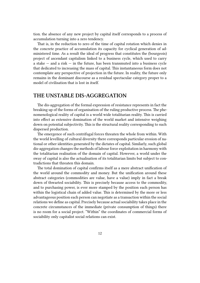tion. the absence of any new project by capital itself corresponds to a process of accumulation turning into a zero tendency.

That is, in the reduction to zero of the time of capital rotation which denies in the concrete practice of accumulation its capacity for cyclical generation of administered time. As a result the ideal of progress that constitutes the (bourgeois) project of ascendant capitalism linked to a business cycle, which used to carry a stake  $-$  and a risk  $-$  in the future, has been transmuted into a business cycle that dedicated to increasing the mass of capital. This instantaneous form does not contemplate any perspective of projection in the future. In reality, the future only remains in the dominant discourse as a residual spectacular category proper to a model of civilisation that is lost in itself.

#### **THE UNSTABLE DIS-AGGREGATION**

The dis-aggregation of the formal expression of resistance represents in fact the breaking up of the forms of organisation of the ruling productive process. The phenomenological reality of capital is a world wide totalitarian reality. This is carried into effect as extensive domination of the world market and intensive weighing down on potential subjectivity. This is the structural reality corresponding to such dispersed production.

The emergence of such centrifugal forces threaten the whole from within. With the world levelling of cultural diversity there corresponds particular erosion of national or other identities generated by the dictates of capital. Similarly, such global dis-aggregation changes the methods of labour force exploitation in harmony with the totalitarian realisation of the domain of capital. However, a world under the sway of capital is also the actualisation of its totalitarian limits but subject to contradictions that threaten this domain.

The total domination of capital confirms itself as a mere abstract unification of the world around the commodity and money. But the unification around these abstract categories (commodities are value, have a value) imply in fact a break down of thwarted sociability. This is precisely because access to the commodity, and to purchasing power, is ever more stamped by the position each person has within the logistical chain of added value. This is determined by the more or less advantageous position each person can negotiate as a transaction within the social relations we define as capital. Precisely because actual sociability takes place in the concrete circumstances of the immediate (private consumption of things) there is no room for a social project. "Within" the coordinates of commercial forms of sociability only capitalist social relations can exist.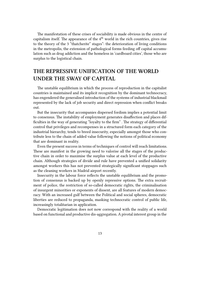The manifestation of these crises of sociability is made obvious in the centre of capitalism itself. The appearance of the  $4<sup>th</sup>$  world in the rich countries, gives rise to the theory of the 3 "thatcherite" stages": the deterioration of living conditions in the metropolis, the extension of pathological forms feeding off capital accumulation such as drug addiction and the homeless in 'cardboard cities', those who are surplus to the logistical chain.

#### **THE REPRESSIVE UNIFICATION OF THE WORLD UNDER THE SWAY OF CAPITAL**

The unstable equilibrium in which the process of reproduction in the capitalist countries is maintained and its implicit recognition by the dominant technocracy, has engendered the generalised introduction of the systems of industrial blackmail represented by the lack of job security and direct repression when conflict breaks out.

But the insecurity that accompanies dispersed fordism implies a potential limit to consensus. The instability of employment generates disaffection and places difficulties in the way of generating "loyalty to the firm" . The strategy of differential control that privileges and recompenses in a structured form each category of the industrial hierarchy, tends to breed insecurity, especially amongst those who contribute less to the chain of added value following the notions of political economy that are dominant in reality.

Even the present success in terms of techniques of control will reach limitations. These are manifest in the growing need to valorise all the stages of the productive chain in order to maximise the surplus value at each level of the productive chain. Although strategies of divide and rule have prevented a unified solidarity amongst workers this has not prevented strategically significant stoppages such as the cleaning workers in Madrid airport recently.

Insecurity in the labour force reflects the unstable equilibrium and the promotion of consensus is backed up by openly repressive options. The extra recruitment of police, the restriction of so-called democratic rights, the criminalisation of insurgent minorities or exponents of dissent, are all features of modern democracy. With an increased gulf between the Political and social spheres, democratic liberties are reduced to propaganda, masking technocratic control of public life, increasingly totalitarian in application.

Democratic legitimation does not now correspond with the reality of a world based on functional and productive dis-aggregation. A pivotal interest group in the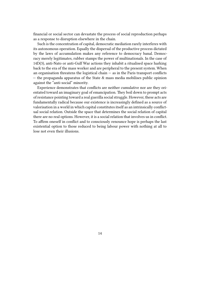financial or social sector can devastate the process of social reproduction perhaps as a response to disruption elsewhere in the chain.

Such is the concentration of capital, democratic mediation rarely interferes with its autonomous operation. Equally the dispersal of the productive process dictated by the laws of accumulation makes any reference to democracy banal. Democracy merely legitimates, rubber stamps the power of multinationals. In the case of 14D(3), anti-Nato or anti-Gulf War actions they inhabit a ritualised space harking back to the era of the mass worker and are peripheral to the present system. When an organisation threatens the logistical chain  $-$  as in the Paris transport conflicts — the propaganda apparatus of the State & mass media mobilises public opinion against the "anti-social" minority.

Experience demonstrates that conflicts are neither cumulative nor are they orientated toward an imaginary goal of emancipation. They boil down to prompt acts of resistance pointing toward a real guerilla social struggle. However, these acts are fundamentally radical because our existence is increasingly defined as a source of valorisation in a world in which capital constitutes itself as an intrinsically conflictual social relation. Outside the space that determines the social relation of capital there are no real options. However, it is a social relation that involves us in conflict. To affirm oneself in conflict and to consciously renounce hope is perhaps the last existential option to those reduced to being labour power with nothing at all to lose not even their illusions.